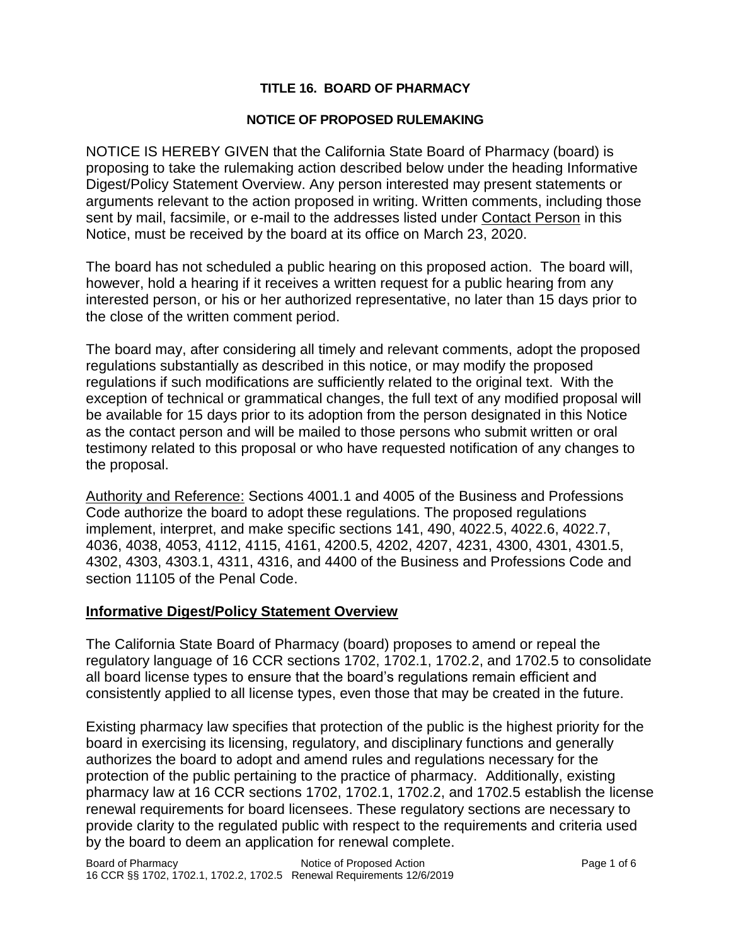### **TITLE 16. BOARD OF PHARMACY**

#### **NOTICE OF PROPOSED RULEMAKING**

NOTICE IS HEREBY GIVEN that the California State Board of Pharmacy (board) is proposing to take the rulemaking action described below under the heading Informative Digest/Policy Statement Overview. Any person interested may present statements or arguments relevant to the action proposed in writing. Written comments, including those sent by mail, facsimile, or e-mail to the addresses listed under Contact Person in this Notice, must be received by the board at its office on March 23, 2020.

The board has not scheduled a public hearing on this proposed action. The board will, however, hold a hearing if it receives a written request for a public hearing from any interested person, or his or her authorized representative, no later than 15 days prior to the close of the written comment period.

The board may, after considering all timely and relevant comments, adopt the proposed regulations substantially as described in this notice, or may modify the proposed regulations if such modifications are sufficiently related to the original text. With the exception of technical or grammatical changes, the full text of any modified proposal will be available for 15 days prior to its adoption from the person designated in this Notice as the contact person and will be mailed to those persons who submit written or oral testimony related to this proposal or who have requested notification of any changes to the proposal.

Authority and Reference: Sections 4001.1 and 4005 of the Business and Professions Code authorize the board to adopt these regulations. The proposed regulations implement, interpret, and make specific sections 141, 490, 4022.5, 4022.6, 4022.7, 4036, 4038, 4053, 4112, 4115, 4161, 4200.5, 4202, 4207, 4231, 4300, 4301, 4301.5, 4302, 4303, 4303.1, 4311, 4316, and 4400 of the Business and Professions Code and section 11105 of the Penal Code.

#### **Informative Digest/Policy Statement Overview**

The California State Board of Pharmacy (board) proposes to amend or repeal the regulatory language of 16 CCR sections 1702, 1702.1, 1702.2, and 1702.5 to consolidate all board license types to ensure that the board's regulations remain efficient and consistently applied to all license types, even those that may be created in the future.

Existing pharmacy law specifies that protection of the public is the highest priority for the board in exercising its licensing, regulatory, and disciplinary functions and generally authorizes the board to adopt and amend rules and regulations necessary for the protection of the public pertaining to the practice of pharmacy. Additionally, existing pharmacy law at 16 CCR sections 1702, 1702.1, 1702.2, and 1702.5 establish the license renewal requirements for board licensees. These regulatory sections are necessary to provide clarity to the regulated public with respect to the requirements and criteria used by the board to deem an application for renewal complete.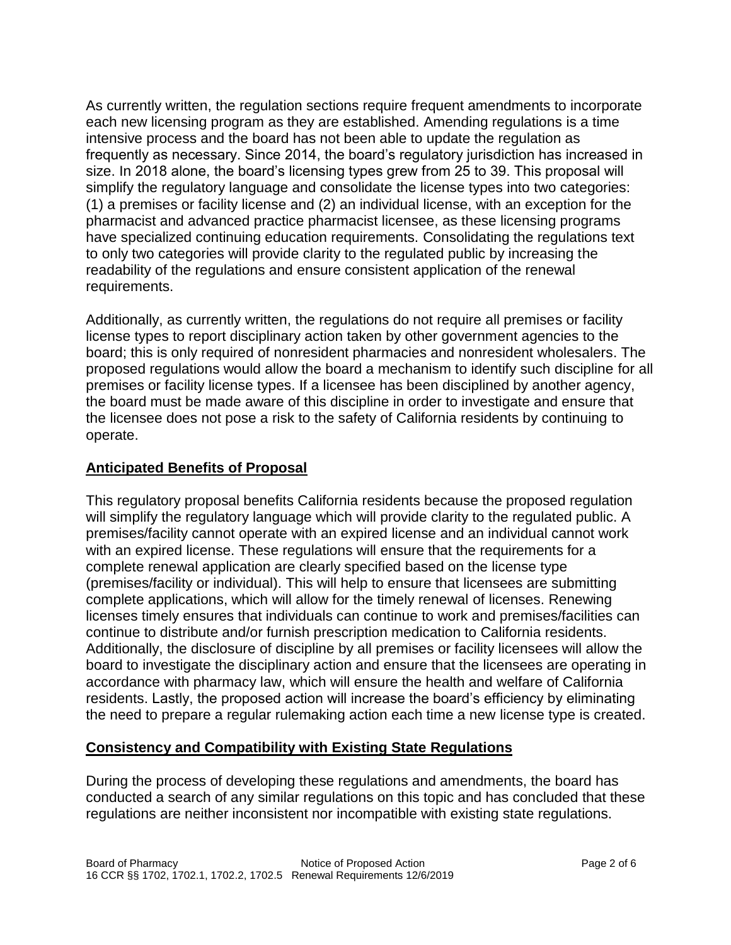As currently written, the regulation sections require frequent amendments to incorporate each new licensing program as they are established. Amending regulations is a time intensive process and the board has not been able to update the regulation as frequently as necessary. Since 2014, the board's regulatory jurisdiction has increased in size. In 2018 alone, the board's licensing types grew from 25 to 39. This proposal will simplify the regulatory language and consolidate the license types into two categories: (1) a premises or facility license and (2) an individual license, with an exception for the pharmacist and advanced practice pharmacist licensee, as these licensing programs have specialized continuing education requirements. Consolidating the regulations text to only two categories will provide clarity to the regulated public by increasing the readability of the regulations and ensure consistent application of the renewal requirements.

Additionally, as currently written, the regulations do not require all premises or facility license types to report disciplinary action taken by other government agencies to the board; this is only required of nonresident pharmacies and nonresident wholesalers. The proposed regulations would allow the board a mechanism to identify such discipline for all premises or facility license types. If a licensee has been disciplined by another agency, the board must be made aware of this discipline in order to investigate and ensure that the licensee does not pose a risk to the safety of California residents by continuing to operate.

# **Anticipated Benefits of Proposal**

This regulatory proposal benefits California residents because the proposed regulation will simplify the regulatory language which will provide clarity to the regulated public. A premises/facility cannot operate with an expired license and an individual cannot work with an expired license. These regulations will ensure that the requirements for a complete renewal application are clearly specified based on the license type (premises/facility or individual). This will help to ensure that licensees are submitting complete applications, which will allow for the timely renewal of licenses. Renewing licenses timely ensures that individuals can continue to work and premises/facilities can continue to distribute and/or furnish prescription medication to California residents. Additionally, the disclosure of discipline by all premises or facility licensees will allow the board to investigate the disciplinary action and ensure that the licensees are operating in accordance with pharmacy law, which will ensure the health and welfare of California residents. Lastly, the proposed action will increase the board's efficiency by eliminating the need to prepare a regular rulemaking action each time a new license type is created.

# **Consistency and Compatibility with Existing State Regulations**

During the process of developing these regulations and amendments, the board has conducted a search of any similar regulations on this topic and has concluded that these regulations are neither inconsistent nor incompatible with existing state regulations.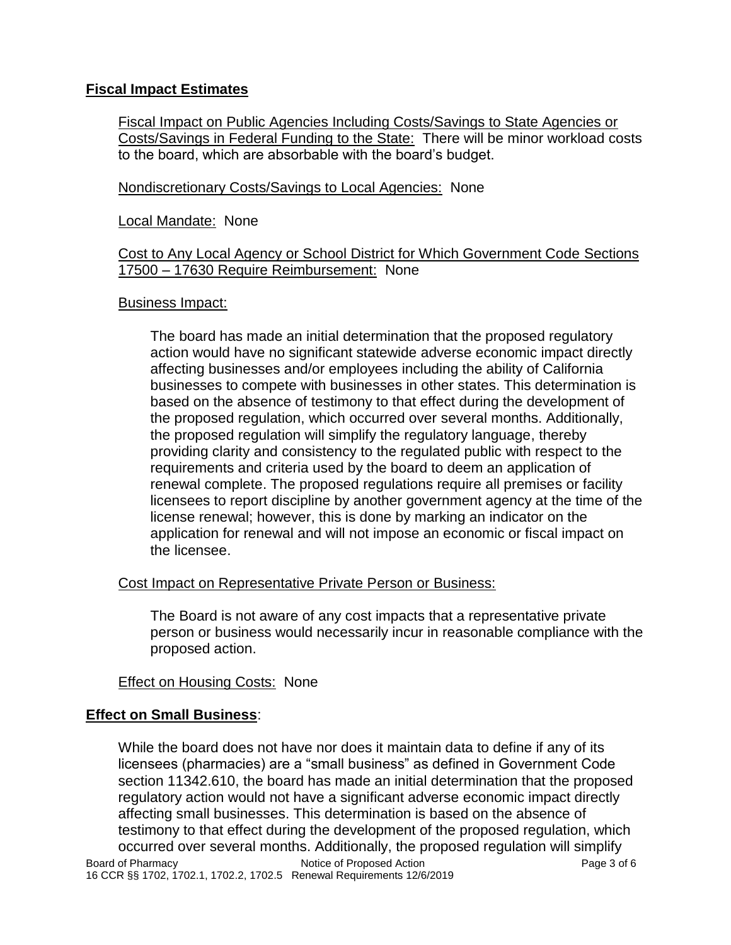# **Fiscal Impact Estimates**

Fiscal Impact on Public Agencies Including Costs/Savings to State Agencies or Costs/Savings in Federal Funding to the State: There will be minor workload costs to the board, which are absorbable with the board's budget.

Nondiscretionary Costs/Savings to Local Agencies: None

#### Local Mandate: None

#### Cost to Any Local Agency or School District for Which Government Code Sections 17500 – 17630 Require Reimbursement: None

#### Business Impact:

The board has made an initial determination that the proposed regulatory action would have no significant statewide adverse economic impact directly affecting businesses and/or employees including the ability of California businesses to compete with businesses in other states. This determination is based on the absence of testimony to that effect during the development of the proposed regulation, which occurred over several months. Additionally, the proposed regulation will simplify the regulatory language, thereby providing clarity and consistency to the regulated public with respect to the requirements and criteria used by the board to deem an application of renewal complete. The proposed regulations require all premises or facility licensees to report discipline by another government agency at the time of the license renewal; however, this is done by marking an indicator on the application for renewal and will not impose an economic or fiscal impact on the licensee.

## Cost Impact on Representative Private Person or Business:

The Board is not aware of any cost impacts that a representative private person or business would necessarily incur in reasonable compliance with the proposed action.

## Effect on Housing Costs: None

## **Effect on Small Business**:

Board of Pharmacy Notice of Proposed Action Page 3 of 6 16 CCR §§ 1702, 1702.1, 1702.2, 1702.5 Renewal Requirements 12/6/2019 While the board does not have nor does it maintain data to define if any of its licensees (pharmacies) are a "small business" as defined in Government Code section 11342.610, the board has made an initial determination that the proposed regulatory action would not have a significant adverse economic impact directly affecting small businesses. This determination is based on the absence of testimony to that effect during the development of the proposed regulation, which occurred over several months. Additionally, the proposed regulation will simplify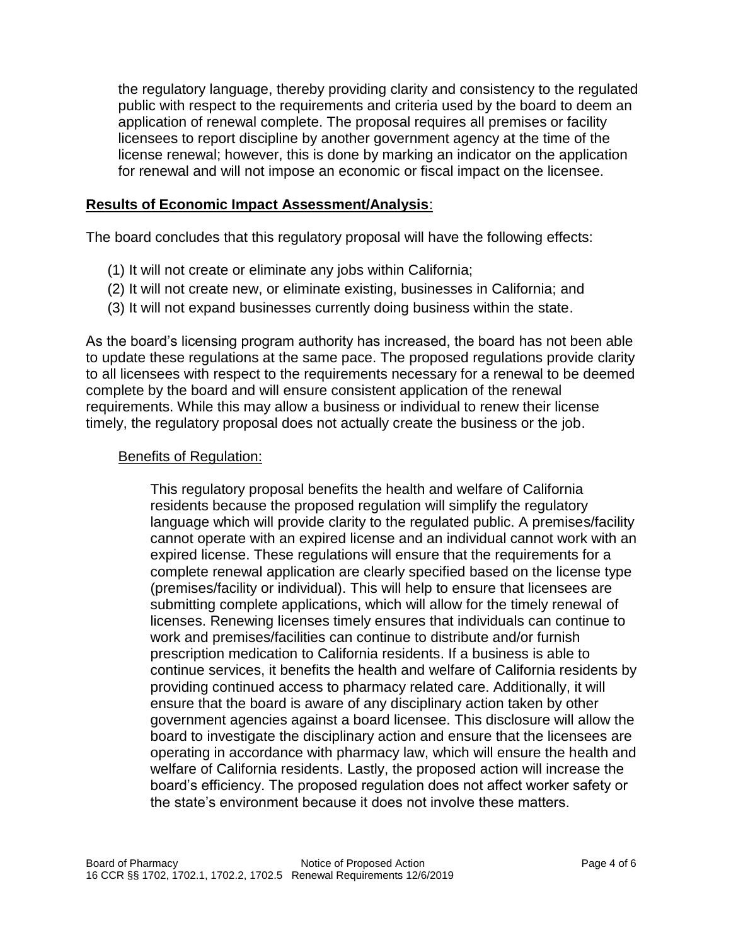the regulatory language, thereby providing clarity and consistency to the regulated public with respect to the requirements and criteria used by the board to deem an application of renewal complete. The proposal requires all premises or facility licensees to report discipline by another government agency at the time of the license renewal; however, this is done by marking an indicator on the application for renewal and will not impose an economic or fiscal impact on the licensee.

#### **Results of Economic Impact Assessment/Analysis**:

The board concludes that this regulatory proposal will have the following effects:

- (1) It will not create or eliminate any jobs within California;
- (2) It will not create new, or eliminate existing, businesses in California; and
- (3) It will not expand businesses currently doing business within the state.

As the board's licensing program authority has increased, the board has not been able to update these regulations at the same pace. The proposed regulations provide clarity to all licensees with respect to the requirements necessary for a renewal to be deemed complete by the board and will ensure consistent application of the renewal requirements. While this may allow a business or individual to renew their license timely, the regulatory proposal does not actually create the business or the job.

#### Benefits of Regulation:

This regulatory proposal benefits the health and welfare of California residents because the proposed regulation will simplify the regulatory language which will provide clarity to the regulated public. A premises/facility cannot operate with an expired license and an individual cannot work with an expired license. These regulations will ensure that the requirements for a complete renewal application are clearly specified based on the license type (premises/facility or individual). This will help to ensure that licensees are submitting complete applications, which will allow for the timely renewal of licenses. Renewing licenses timely ensures that individuals can continue to work and premises/facilities can continue to distribute and/or furnish prescription medication to California residents. If a business is able to continue services, it benefits the health and welfare of California residents by providing continued access to pharmacy related care. Additionally, it will ensure that the board is aware of any disciplinary action taken by other government agencies against a board licensee. This disclosure will allow the board to investigate the disciplinary action and ensure that the licensees are operating in accordance with pharmacy law, which will ensure the health and welfare of California residents. Lastly, the proposed action will increase the board's efficiency. The proposed regulation does not affect worker safety or the state's environment because it does not involve these matters.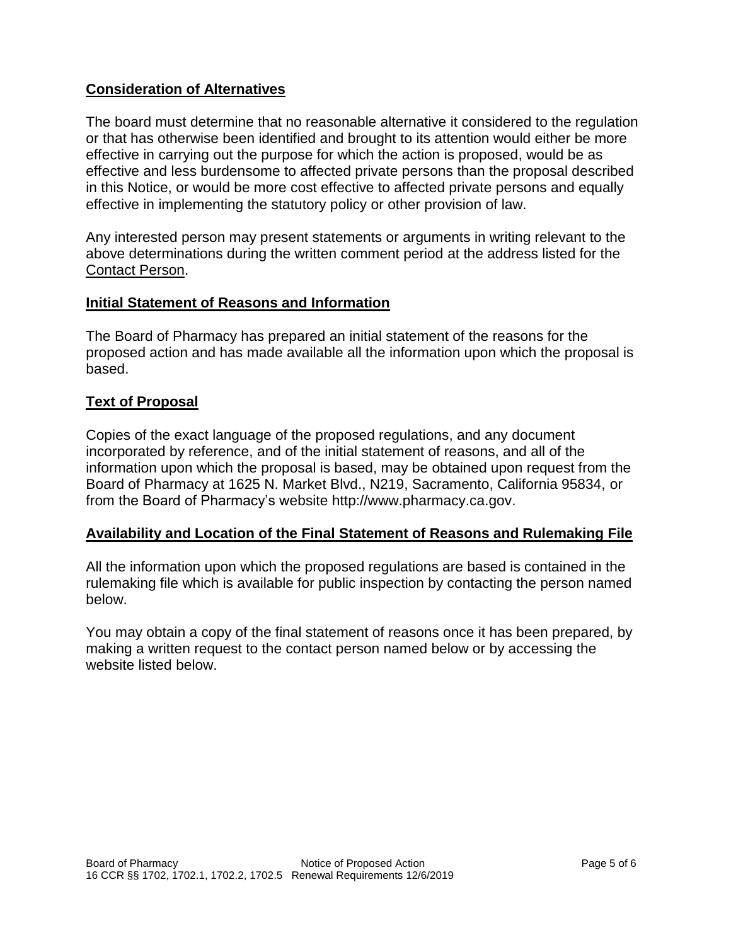## **Consideration of Alternatives**

The board must determine that no reasonable alternative it considered to the regulation or that has otherwise been identified and brought to its attention would either be more effective in carrying out the purpose for which the action is proposed, would be as effective and less burdensome to affected private persons than the proposal described in this Notice, or would be more cost effective to affected private persons and equally effective in implementing the statutory policy or other provision of law.

Any interested person may present statements or arguments in writing relevant to the above determinations during the written comment period at the address listed for the Contact Person.

#### **Initial Statement of Reasons and Information**

The Board of Pharmacy has prepared an initial statement of the reasons for the proposed action and has made available all the information upon which the proposal is based.

## **Text of Proposal**

Copies of the exact language of the proposed regulations, and any document incorporated by reference, and of the initial statement of reasons, and all of the information upon which the proposal is based, may be obtained upon request from the Board of Pharmacy at 1625 N. Market Blvd., N219, Sacramento, California 95834, or from the Board of Pharmacy's website http://www.pharmacy.ca.gov.

## **Availability and Location of the Final Statement of Reasons and Rulemaking File**

All the information upon which the proposed regulations are based is contained in the rulemaking file which is available for public inspection by contacting the person named below.

You may obtain a copy of the final statement of reasons once it has been prepared, by making a written request to the contact person named below or by accessing the website listed below.